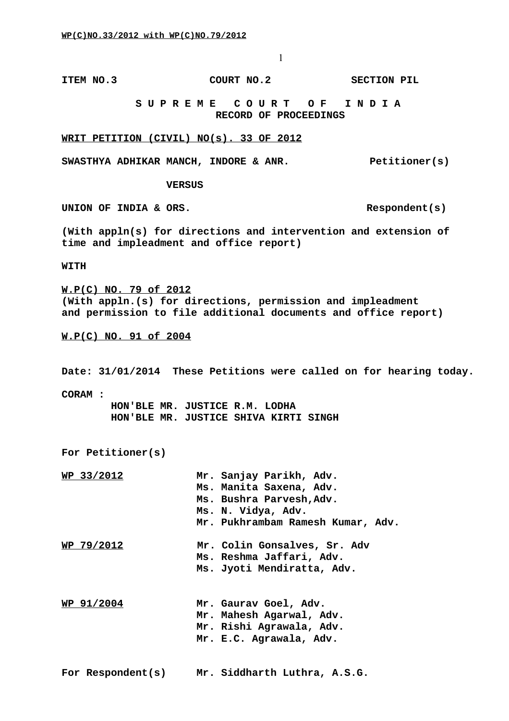**ITEM NO.3 COURT NO.2 SECTION PIL** 

 **S U P R E M E C O U R T O F I N D I A RECORD OF PROCEEDINGS**

**WRIT PETITION (CIVIL) NO(s). 33 OF 2012**

SWASTHYA ADHIKAR MANCH, INDORE & ANR. Petitioner(s)

 **VERSUS**

UNION OF INDIA & ORS. Respondent(s)

**(With appln(s) for directions and intervention and extension of time and impleadment and office report)**

**WITH** 

**W.P(C) NO. 79 of 2012 (With appln.(s) for directions, permission and impleadment and permission to file additional documents and office report)**

**W.P(C) NO. 91 of 2004**

**Date: 31/01/2014 These Petitions were called on for hearing today.**

**CORAM :**

 **HON'BLE MR. JUSTICE R.M. LODHA HON'BLE MR. JUSTICE SHIVA KIRTI SINGH**

**For Petitioner(s)**

| <u>WP 33/2012</u>  | Mr. Sanjay Parikh, Adv.           |
|--------------------|-----------------------------------|
|                    | Ms. Manita Saxena, Adv.           |
|                    | Ms. Bushra Parvesh, Adv.          |
|                    | Ms. N. Vidya, Adv.                |
|                    | Mr. Pukhrambam Ramesh Kumar, Adv. |
| <u> WP 79/2012</u> | Mr. Colin Gonsalves, Sr. Adv      |
|                    | Ms. Reshma Jaffari, Adv.          |
|                    | Ms. Jyoti Mendiratta, Adv.        |
|                    |                                   |
| WP <u>91/2004</u>  | Mr. Gaurav Goel, Adv.             |
|                    | Mr. Mahesh Agarwal, Adv.          |
|                    | Mr. Rishi Agrawala, Adv.          |

**Mr. E.C. Agrawala, Adv.**

**For Respondent(s) Mr. Siddharth Luthra, A.S.G.**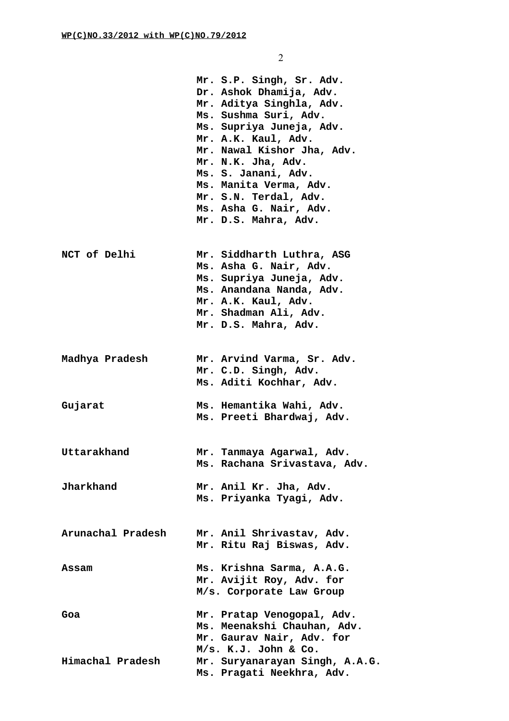|                   | Mr. S.P. Singh, Sr. Adv.<br>Dr. Ashok Dhamija, Adv.<br>Mr. Aditya Singhla, Adv.<br>Ms. Sushma Suri, Adv.<br>Ms. Supriya Juneja, Adv.<br>Mr. A.K. Kaul, Adv.<br>Mr. Nawal Kishor Jha, Adv.<br>Mr. N.K. Jha, Adv.<br>Ms. S. Janani, Adv.<br>Ms. Manita Verma, Adv.<br>Mr. S.N. Terdal, Adv.<br>Ms. Asha G. Nair, Adv.<br>Mr. D.S. Mahra, Adv. |
|-------------------|---------------------------------------------------------------------------------------------------------------------------------------------------------------------------------------------------------------------------------------------------------------------------------------------------------------------------------------------|
| NCT of Delhi      | Mr. Siddharth Luthra, ASG<br>Ms. Asha G. Nair, Adv.<br>Ms. Supriya Juneja, Adv.<br>Ms. Anandana Nanda, Adv.<br>Mr. A.K. Kaul, Adv.<br>Mr. Shadman Ali, Adv.<br>Mr. D.S. Mahra, Adv.                                                                                                                                                         |
| Madhya Pradesh    | Mr. Arvind Varma, Sr. Adv.<br>Mr. C.D. Singh, Adv.<br>Ms. Aditi Kochhar, Adv.                                                                                                                                                                                                                                                               |
| Gujarat           | Ms. Hemantika Wahi, Adv.<br>Ms. Preeti Bhardwaj, Adv.                                                                                                                                                                                                                                                                                       |
| Uttarakhand       | Mr. Tanmaya Agarwal, Adv.<br>Ms. Rachana Srivastava, Adv.                                                                                                                                                                                                                                                                                   |
| Jharkhand         | Mr. Anil Kr. Jha, Adv.<br>Ms. Priyanka Tyagi, Adv.                                                                                                                                                                                                                                                                                          |
| Arunachal Pradesh | Mr. Anil Shrivastav, Adv.<br>Mr. Ritu Raj Biswas, Adv.                                                                                                                                                                                                                                                                                      |
| Assam             | Ms. Krishna Sarma, A.A.G.<br>Mr. Avijit Roy, Adv. for<br>M/s. Corporate Law Group                                                                                                                                                                                                                                                           |
| Goa               | Mr. Pratap Venogopal, Adv.<br>Ms. Meenakshi Chauhan, Adv.<br>Mr. Gaurav Nair, Adv. for<br>M/s. K.J. John & Co.                                                                                                                                                                                                                              |
| Himachal Pradesh  | Mr. Suryanarayan Singh, A.A.G.<br>Ms. Pragati Neekhra, Adv.                                                                                                                                                                                                                                                                                 |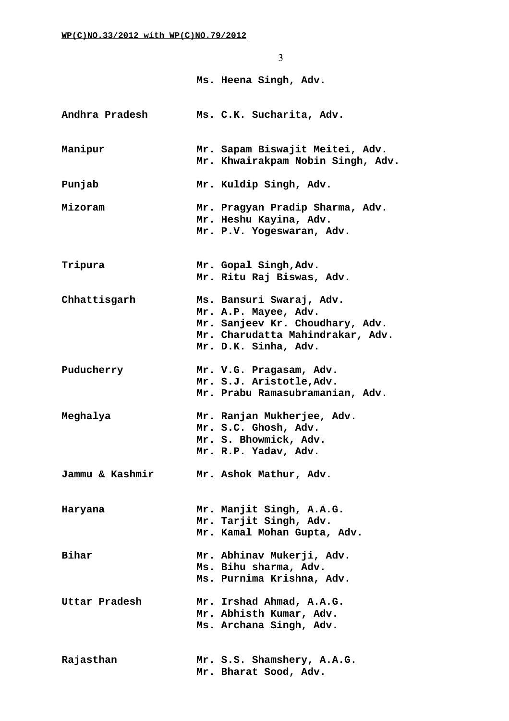3 **Ms. Heena Singh, Adv. Andhra Pradesh Ms. C.K. Sucharita, Adv. Manipur Mr. Sapam Biswajit Meitei, Adv. Mr. Khwairakpam Nobin Singh, Adv. Punjab Mr. Kuldip Singh, Adv. Mizoram Mr. Pragyan Pradip Sharma, Adv. Mr. Heshu Kayina, Adv. Mr. P.V. Yogeswaran, Adv. Tripura Mr. Gopal Singh,Adv. Mr. Ritu Raj Biswas, Adv. Chhattisgarh Ms. Bansuri Swaraj, Adv. Mr. A.P. Mayee, Adv. Mr. Sanjeev Kr. Choudhary, Adv. Mr. Charudatta Mahindrakar, Adv. Mr. D.K. Sinha, Adv. Puducherry Mr. V.G. Pragasam, Adv. Mr. S.J. Aristotle,Adv. Mr. Prabu Ramasubramanian, Adv. Meghalya Mr. Ranjan Mukherjee, Adv. Mr. S.C. Ghosh, Adv. Mr. S. Bhowmick, Adv. Mr. R.P. Yadav, Adv. Jammu & Kashmir Mr. Ashok Mathur, Adv. Haryana Mr. Manjit Singh, A.A.G. Mr. Tarjit Singh, Adv. Mr. Kamal Mohan Gupta, Adv. Bihar Mr. Abhinav Mukerji, Adv. Ms. Bihu sharma, Adv. Ms. Purnima Krishna, Adv. Uttar Pradesh Mr. Irshad Ahmad, A.A.G. Mr. Abhisth Kumar, Adv. Ms. Archana Singh, Adv. Rajasthan Mr. S.S. Shamshery, A.A.G. Mr. Bharat Sood, Adv.**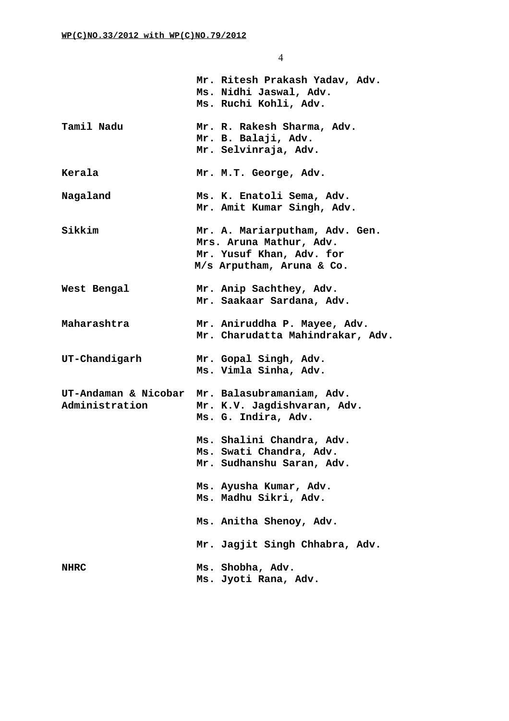|                | Mr. Ritesh Prakash Yadav, Adv.<br>Ms. Nidhi Jaswal, Adv.<br>Ms. Ruchi Kohli, Adv.                                  |
|----------------|--------------------------------------------------------------------------------------------------------------------|
| Tamil Nadu     | Mr. R. Rakesh Sharma, Adv.<br>Mr. B. Balaji, Adv.<br>Mr. Selvinraja, Adv.                                          |
| Kerala         | Mr. M.T. George, Adv.                                                                                              |
| Nagaland       | Ms. K. Enatoli Sema, Adv.<br>Mr. Amit Kumar Singh, Adv.                                                            |
| Sikkim         | Mr. A. Mariarputham, Adv. Gen.<br>Mrs. Aruna Mathur, Adv.<br>Mr. Yusuf Khan, Adv. for<br>M/s Arputham, Aruna & Co. |
| West Bengal    | Mr. Anip Sachthey, Adv.<br>Mr. Saakaar Sardana, Adv.                                                               |
| Maharashtra    | Mr. Aniruddha P. Mayee, Adv.<br>Mr. Charudatta Mahindrakar, Adv.                                                   |
| UT-Chandigarh  | Mr. Gopal Singh, Adv.<br>Ms. Vimla Sinha, Adv.                                                                     |
| Administration | UT-Andaman & Nicobar Mr. Balasubramaniam, Adv.<br>Mr. K.V. Jagdishvaran, Adv.<br>Ms. G. Indira, Adv.               |
|                | Ms. Shalini Chandra, Adv.<br>Ms. Swati Chandra, Adv.<br>Mr. Sudhanshu Saran, Adv.                                  |
|                | Ms. Ayusha Kumar, Adv.<br>Ms. Madhu Sikri, Adv.                                                                    |
|                | Ms. Anitha Shenoy, Adv.                                                                                            |
|                | Mr. Jagjit Singh Chhabra, Adv.                                                                                     |
| <b>NHRC</b>    | Ms. Shobha, Adv.<br>Ms. Jyoti Rana, Adv.                                                                           |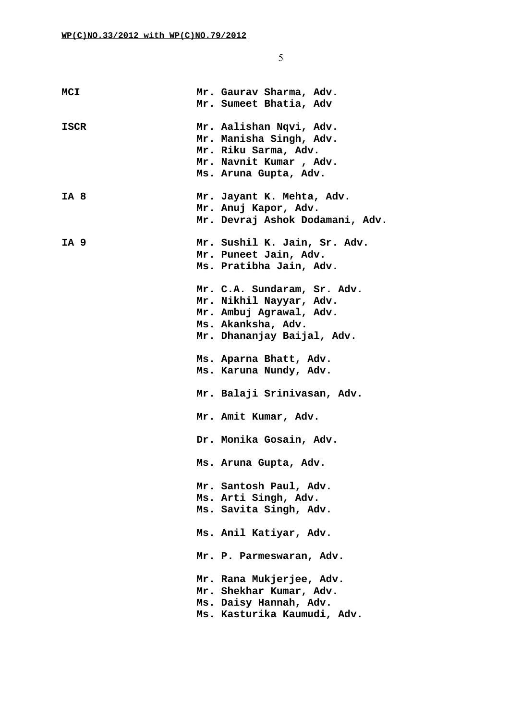| <b>MCI</b>  | Mr. Gaurav Sharma, Adv.         |
|-------------|---------------------------------|
|             | Mr. Sumeet Bhatia, Adv          |
| <b>ISCR</b> | Mr. Aalishan Nqvi, Adv.         |
|             | Mr. Manisha Singh, Adv.         |
|             | Mr. Riku Sarma, Adv.            |
|             | Mr. Navnit Kumar, Adv.          |
|             | Ms. Aruna Gupta, Adv.           |
|             |                                 |
| IA 8        | Mr. Jayant K. Mehta, Adv.       |
|             | Mr. Anuj Kapor, Adv.            |
|             | Mr. Devraj Ashok Dodamani, Adv. |
| IA 9        | Mr. Sushil K. Jain, Sr. Adv.    |
|             | Mr. Puneet Jain, Adv.           |
|             | Ms. Pratibha Jain, Adv.         |
|             |                                 |
|             | Mr. C.A. Sundaram, Sr. Adv.     |
|             | Mr. Nikhil Nayyar, Adv.         |
|             | Mr. Ambuj Agrawal, Adv.         |
|             | Ms. Akanksha, Adv.              |
|             | Mr. Dhananjay Baijal, Adv.      |
|             |                                 |
|             | Ms. Aparna Bhatt, Adv.          |
|             | Ms. Karuna Nundy, Adv.          |
|             |                                 |
|             | Mr. Balaji Srinivasan, Adv.     |
|             |                                 |
|             | Mr. Amit Kumar, Adv.            |
|             | Dr. Monika Gosain, Adv.         |
|             |                                 |
|             | Ms. Aruna Gupta, Adv.           |
|             |                                 |
|             | Mr. Santosh Paul, Adv.          |
|             | Ms. Arti Singh, Adv.            |
|             | Ms. Savita Singh, Adv.          |
|             | Ms. Anil Katiyar, Adv.          |
|             |                                 |
|             | Mr. P. Parmeswaran, Adv.        |
|             | Mr. Rana Mukjerjee, Adv.        |
|             | Mr. Shekhar Kumar, Adv.         |
|             | Ms. Daisy Hannah, Adv.          |
|             | Ms. Kasturika Kaumudi, Adv.     |
|             |                                 |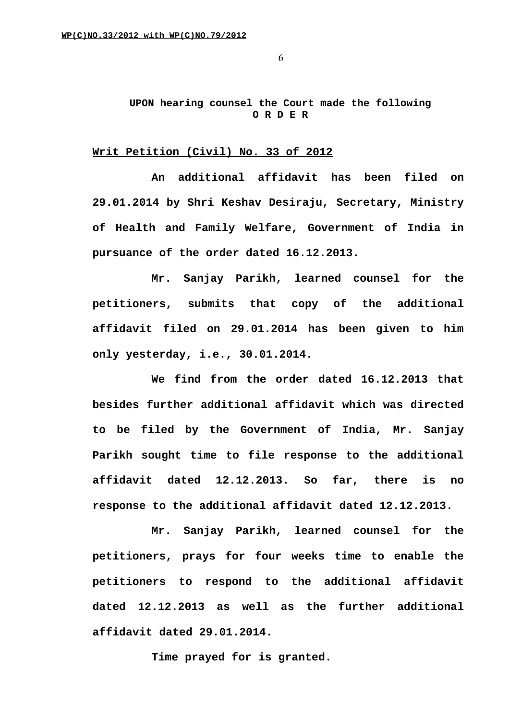## **UPON hearing counsel the Court made the following O R D E R**

## **Writ Petition (Civil) No. 33 of 2012**

**An additional affidavit has been filed on 29.01.2014 by Shri Keshav Desiraju, Secretary, Ministry of Health and Family Welfare, Government of India in pursuance of the order dated 16.12.2013.**

**Mr. Sanjay Parikh, learned counsel for the petitioners, submits that copy of the additional affidavit filed on 29.01.2014 has been given to him only yesterday, i.e., 30.01.2014.**

**We find from the order dated 16.12.2013 that besides further additional affidavit which was directed to be filed by the Government of India, Mr. Sanjay Parikh sought time to file response to the additional affidavit dated 12.12.2013. So far, there is no response to the additional affidavit dated 12.12.2013.**

**Mr. Sanjay Parikh, learned counsel for the petitioners, prays for four weeks time to enable the petitioners to respond to the additional affidavit dated 12.12.2013 as well as the further additional affidavit dated 29.01.2014.**

**Time prayed for is granted.**